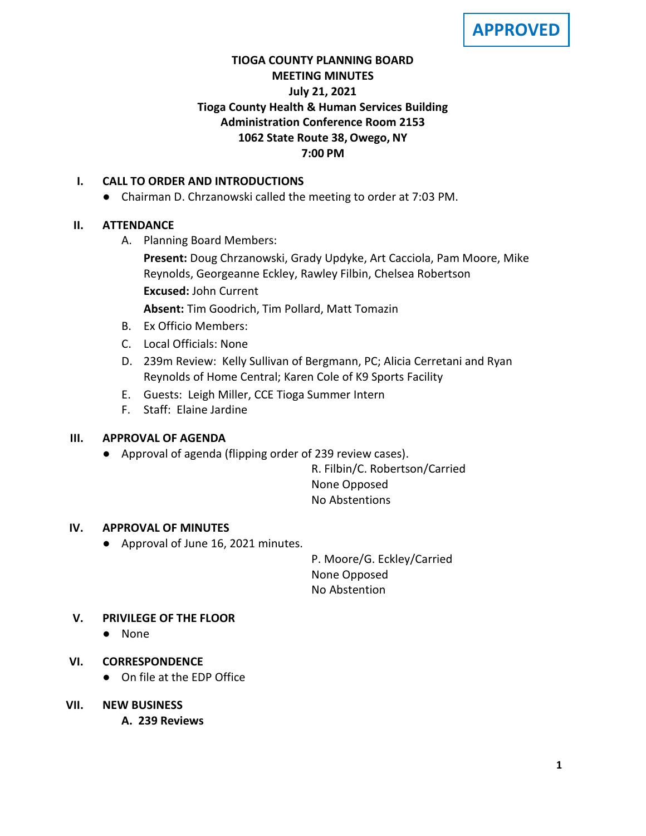**APPROVED**

# **TIOGA COUNTY PLANNING BOARD MEETING MINUTES July 21, 2021 Tioga County Health & Human Services Building Administration Conference Room 2153 1062 State Route 38, Owego, NY 7:00 PM**

## **I. CALL TO ORDER AND INTRODUCTIONS**

● Chairman D. Chrzanowski called the meeting to order at 7:03 PM.

# **II. ATTENDANCE**

A. Planning Board Members:

**Present:** Doug Chrzanowski, Grady Updyke, Art Cacciola, Pam Moore, Mike Reynolds, Georgeanne Eckley, Rawley Filbin, Chelsea Robertson **Excused:** John Current

**Absent:** Tim Goodrich, Tim Pollard, Matt Tomazin

- B. Ex Officio Members:
- C. Local Officials: None
- D. 239m Review: Kelly Sullivan of Bergmann, PC; Alicia Cerretani and Ryan Reynolds of Home Central; Karen Cole of K9 Sports Facility
- E. Guests: Leigh Miller, CCE Tioga Summer Intern
- F. Staff: Elaine Jardine

## **III. APPROVAL OF AGENDA**

● Approval of agenda (flipping order of 239 review cases).

R. Filbin/C. Robertson/Carried None Opposed No Abstentions

## **IV. APPROVAL OF MINUTES**

● Approval of June 16, 2021 minutes.

P. Moore/G. Eckley/Carried None Opposed No Abstention

# **V. PRIVILEGE OF THE FLOOR**

● None

## **VI. CORRESPONDENCE**

● On file at the EDP Office

## **VII. NEW BUSINESS**

**A. A. 239 Reviews**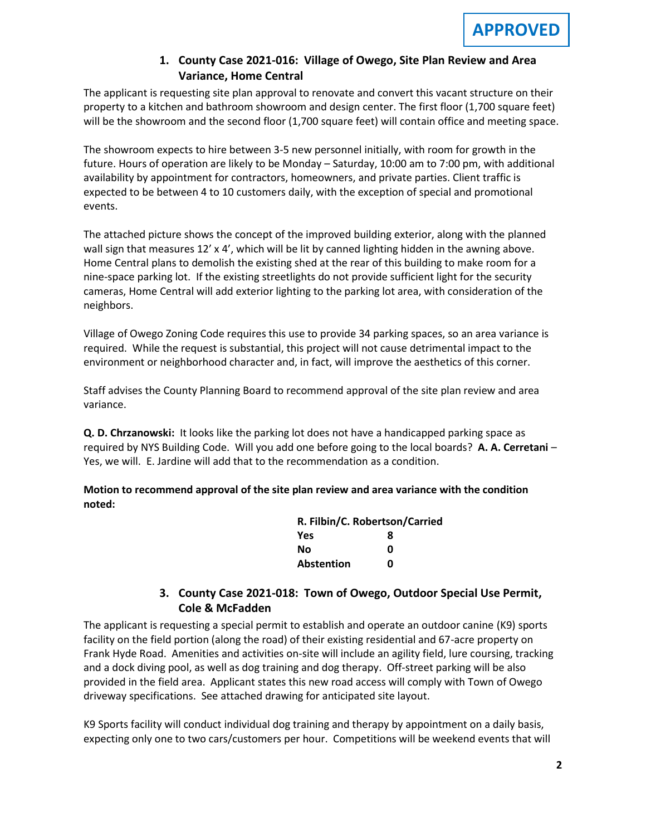## **1. County Case 2021-016: Village of Owego, Site Plan Review and Area Variance, Home Central**

The applicant is requesting site plan approval to renovate and convert this vacant structure on their property to a kitchen and bathroom showroom and design center. The first floor (1,700 square feet) will be the showroom and the second floor (1,700 square feet) will contain office and meeting space.

The showroom expects to hire between 3-5 new personnel initially, with room for growth in the future. Hours of operation are likely to be Monday – Saturday, 10:00 am to 7:00 pm, with additional availability by appointment for contractors, homeowners, and private parties. Client traffic is expected to be between 4 to 10 customers daily, with the exception of special and promotional events.

The attached picture shows the concept of the improved building exterior, along with the planned wall sign that measures 12' x 4', which will be lit by canned lighting hidden in the awning above. Home Central plans to demolish the existing shed at the rear of this building to make room for a nine-space parking lot. If the existing streetlights do not provide sufficient light for the security cameras, Home Central will add exterior lighting to the parking lot area, with consideration of the neighbors.

Village of Owego Zoning Code requires this use to provide 34 parking spaces, so an area variance is required. While the request is substantial, this project will not cause detrimental impact to the environment or neighborhood character and, in fact, will improve the aesthetics of this corner.

Staff advises the County Planning Board to recommend approval of the site plan review and area variance.

**Q. D. Chrzanowski:** It looks like the parking lot does not have a handicapped parking space as required by NYS Building Code. Will you add one before going to the local boards? **A. A. Cerretani** – Yes, we will. E. Jardine will add that to the recommendation as a condition.

**Motion to recommend approval of the site plan review and area variance with the condition noted:**

| R. Filbin/C. Robertson/Carried |   |  |
|--------------------------------|---|--|
| Yes                            | 8 |  |
| Nο                             | ŋ |  |
| <b>Abstention</b>              | n |  |

# **3. County Case 2021-018: Town of Owego, Outdoor Special Use Permit, Cole & McFadden**

The applicant is requesting a special permit to establish and operate an outdoor canine (K9) sports facility on the field portion (along the road) of their existing residential and 67-acre property on Frank Hyde Road. Amenities and activities on-site will include an agility field, lure coursing, tracking and a dock diving pool, as well as dog training and dog therapy. Off-street parking will be also provided in the field area. Applicant states this new road access will comply with Town of Owego driveway specifications. See attached drawing for anticipated site layout.

K9 Sports facility will conduct individual dog training and therapy by appointment on a daily basis, expecting only one to two cars/customers per hour. Competitions will be weekend events that will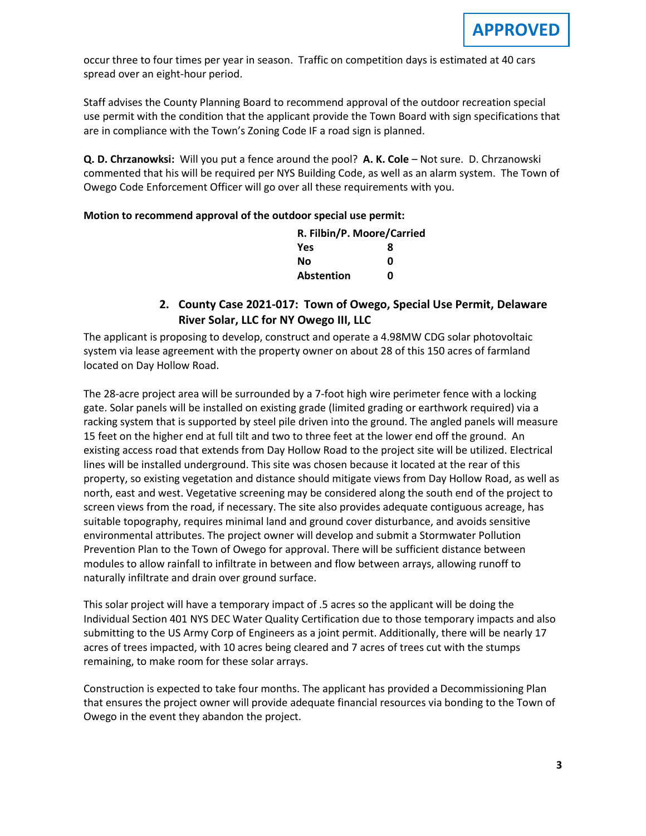occur three to four times per year in season. Traffic on competition days is estimated at 40 cars spread over an eight-hour period.

Staff advises the County Planning Board to recommend approval of the outdoor recreation special use permit with the condition that the applicant provide the Town Board with sign specifications that are in compliance with the Town's Zoning Code IF a road sign is planned.

**Q. D. Chrzanowksi:** Will you put a fence around the pool? **A. K. Cole** – Not sure. D. Chrzanowski commented that his will be required per NYS Building Code, as well as an alarm system. The Town of Owego Code Enforcement Officer will go over all these requirements with you.

#### **Motion to recommend approval of the outdoor special use permit:**

| R. Filbin/P. Moore/Carried |   |
|----------------------------|---|
| Yes                        | 8 |
| Nο                         | n |
| <b>Abstention</b>          | n |

## **2. County Case 2021-017: Town of Owego, Special Use Permit, Delaware River Solar, LLC for NY Owego III, LLC**

The applicant is proposing to develop, construct and operate a 4.98MW CDG solar photovoltaic system via lease agreement with the property owner on about 28 of this 150 acres of farmland located on Day Hollow Road.

The 28-acre project area will be surrounded by a 7-foot high wire perimeter fence with a locking gate. Solar panels will be installed on existing grade (limited grading or earthwork required) via a racking system that is supported by steel pile driven into the ground. The angled panels will measure 15 feet on the higher end at full tilt and two to three feet at the lower end off the ground. An existing access road that extends from Day Hollow Road to the project site will be utilized. Electrical lines will be installed underground. This site was chosen because it located at the rear of this property, so existing vegetation and distance should mitigate views from Day Hollow Road, as well as north, east and west. Vegetative screening may be considered along the south end of the project to screen views from the road, if necessary. The site also provides adequate contiguous acreage, has suitable topography, requires minimal land and ground cover disturbance, and avoids sensitive environmental attributes. The project owner will develop and submit a Stormwater Pollution Prevention Plan to the Town of Owego for approval. There will be sufficient distance between modules to allow rainfall to infiltrate in between and flow between arrays, allowing runoff to naturally infiltrate and drain over ground surface.

This solar project will have a temporary impact of .5 acres so the applicant will be doing the Individual Section 401 NYS DEC Water Quality Certification due to those temporary impacts and also submitting to the US Army Corp of Engineers as a joint permit. Additionally, there will be nearly 17 acres of trees impacted, with 10 acres being cleared and 7 acres of trees cut with the stumps remaining, to make room for these solar arrays.

Construction is expected to take four months. The applicant has provided a Decommissioning Plan that ensures the project owner will provide adequate financial resources via bonding to the Town of Owego in the event they abandon the project.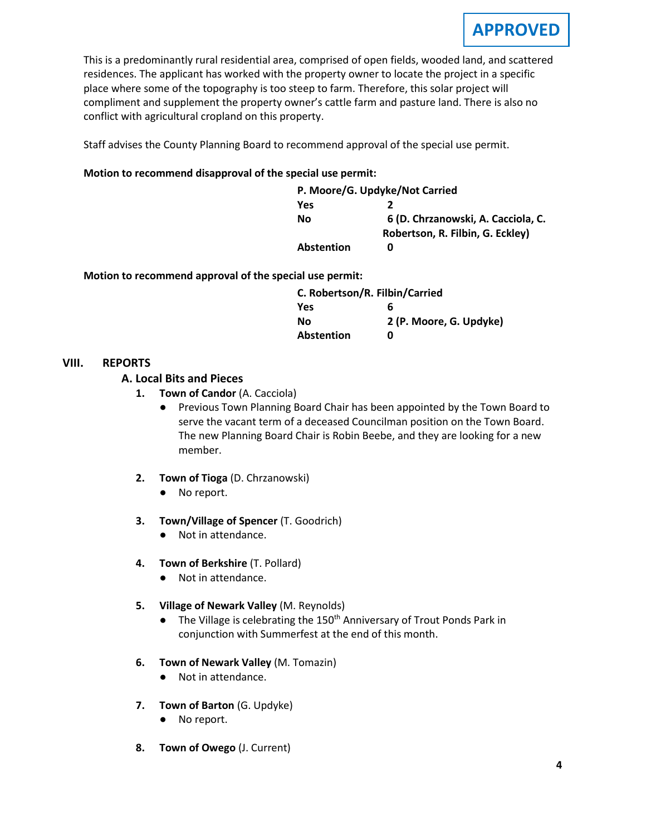

This is a predominantly rural residential area, comprised of open fields, wooded land, and scattered residences. The applicant has worked with the property owner to locate the project in a specific place where some of the topography is too steep to farm. Therefore, this solar project will compliment and supplement the property owner's cattle farm and pasture land. There is also no conflict with agricultural cropland on this property.

Staff advises the County Planning Board to recommend approval of the special use permit.

#### **Motion to recommend disapproval of the special use permit:**

|                   | P. Moore/G. Updyke/Not Carried     |
|-------------------|------------------------------------|
| Yes               |                                    |
| Nο                | 6 (D. Chrzanowski, A. Cacciola, C. |
|                   | Robertson, R. Filbin, G. Eckley)   |
| <b>Abstention</b> | O                                  |

**Motion to recommend approval of the special use permit:**

| C. Robertson/R. Filbin/Carried |
|--------------------------------|
| 6                              |
| 2 (P. Moore, G. Updyke)        |
| n                              |
|                                |

#### **VIII. REPORTS**

#### **A. A. Local Bits and Pieces**

- **1. Town of Candor** (A. Cacciola)
	- Previous Town Planning Board Chair has been appointed by the Town Board to serve the vacant term of a deceased Councilman position on the Town Board. The new Planning Board Chair is Robin Beebe, and they are looking for a new member.
- **2. Town of Tioga** (D. Chrzanowski)
	- No report.
- **3. Town/Village of Spencer** (T. Goodrich)
	- Not in attendance.
- **4. Town of Berkshire** (T. Pollard)
	- Not in attendance.
- **5. Village of Newark Valley** (M. Reynolds)
	- The Village is celebrating the 150<sup>th</sup> Anniversary of Trout Ponds Park in conjunction with Summerfest at the end of this month.
- **6. Town of Newark Valley** (M. Tomazin)
	- Not in attendance.
- **7. Town of Barton** (G. Updyke)
	- No report.
- **8. Town of Owego** (J. Current)